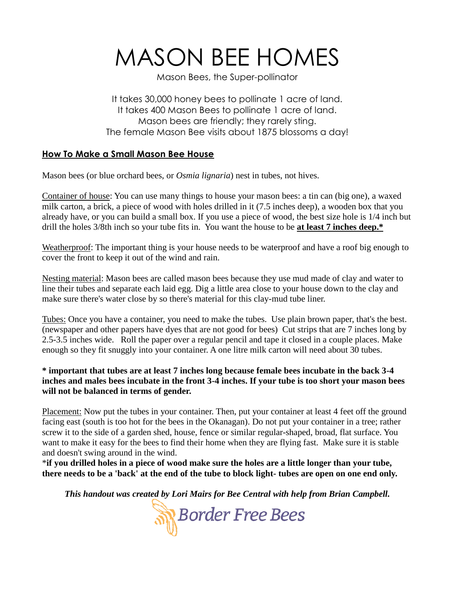MASON BEE HOMES

Mason Bees, the Super-pollinator

It takes 30,000 honey bees to pollinate 1 acre of land. It takes 400 Mason Bees to pollinate 1 acre of land. Mason bees are friendly; they rarely sting. The female Mason Bee visits about 1875 blossoms a day!

### **How To Make a Small Mason Bee House**

Mason bees (or blue orchard bees, or *Osmia lignaria*) nest in tubes, not hives.

Container of house: You can use many things to house your mason bees: a tin can (big one), a waxed milk carton, a brick, a piece of wood with holes drilled in it (7.5 inches deep), a wooden box that you already have, or you can build a small box. If you use a piece of wood, the best size hole is 1/4 inch but drill the holes 3/8th inch so your tube fits in. You want the house to be **at least 7 inches deep.\***

Weatherproof: The important thing is your house needs to be waterproof and have a roof big enough to cover the front to keep it out of the wind and rain.

Nesting material: Mason bees are called mason bees because they use mud made of clay and water to line their tubes and separate each laid egg. Dig a little area close to your house down to the clay and make sure there's water close by so there's material for this clay-mud tube liner.

Tubes: Once you have a container, you need to make the tubes. Use plain brown paper, that's the best. (newspaper and other papers have dyes that are not good for bees) Cut strips that are 7 inches long by 2.5-3.5 inches wide. Roll the paper over a regular pencil and tape it closed in a couple places. Make enough so they fit snuggly into your container. A one litre milk carton will need about 30 tubes.

#### **\* important that tubes are at least 7 inches long because female bees incubate in the back 3-4 inches and males bees incubate in the front 3-4 inches. If your tube is too short your mason bees will not be balanced in terms of gender.**

Placement: Now put the tubes in your container. Then, put your container at least 4 feet off the ground facing east (south is too hot for the bees in the Okanagan). Do not put your container in a tree; rather screw it to the side of a garden shed, house, fence or similar regular-shaped, broad, flat surface. You want to make it easy for the bees to find their home when they are flying fast. Make sure it is stable and doesn't swing around in the wind.

\***if you drilled holes in a piece of wood make sure the holes are a little longer than your tube, there needs to be a 'back' at the end of the tube to block light- tubes are open on one end only.**

*This handout was created by Lori Mairs for Bee Central with help from Brian Campbell.*

Border Free Bees